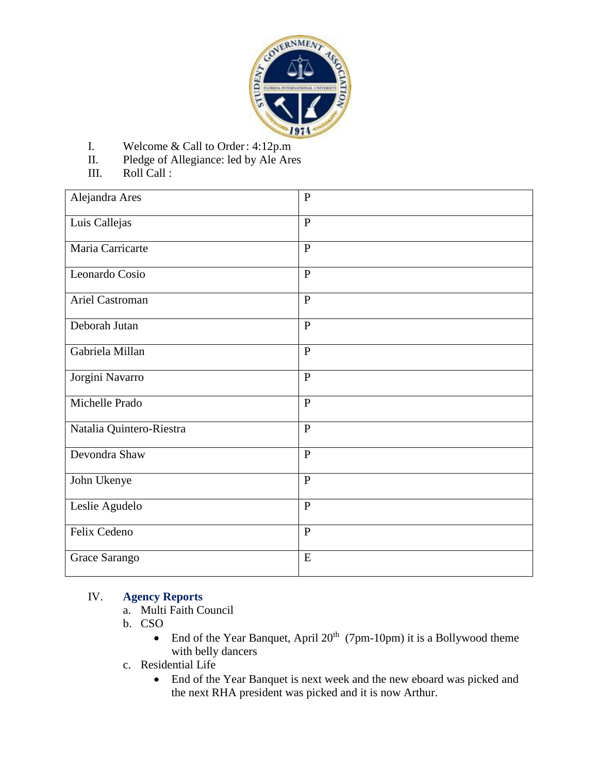

- I. Welcome & Call to Order: 4:12p.m
- II. Pledge of Allegiance: led by Ale Ares
- III. Roll Call :

| Alejandra Ares           | $\mathbf{P}$ |
|--------------------------|--------------|
| Luis Callejas            | $\mathbf{P}$ |
| Maria Carricarte         | $\mathbf{P}$ |
| Leonardo Cosio           | $\mathbf{P}$ |
| Ariel Castroman          | $\mathbf{P}$ |
| Deborah Jutan            | $\mathbf{P}$ |
| Gabriela Millan          | $\mathbf{P}$ |
| Jorgini Navarro          | $\mathbf{P}$ |
| Michelle Prado           | $\mathbf{P}$ |
| Natalia Quintero-Riestra | $\mathbf{P}$ |
| Devondra Shaw            | $\mathbf{P}$ |
| John Ukenye              | $\mathbf{P}$ |
| Leslie Agudelo           | $\mathbf{P}$ |
| Felix Cedeno             | $\mathbf{P}$ |
| Grace Sarango            | E            |

### IV. **Agency Reports**

- a. Multi Faith Council
- b. CSO
	- End of the Year Banquet, April  $20<sup>th</sup>$  (7pm-10pm) it is a Bollywood theme with belly dancers
- c. Residential Life
	- End of the Year Banquet is next week and the new eboard was picked and the next RHA president was picked and it is now Arthur.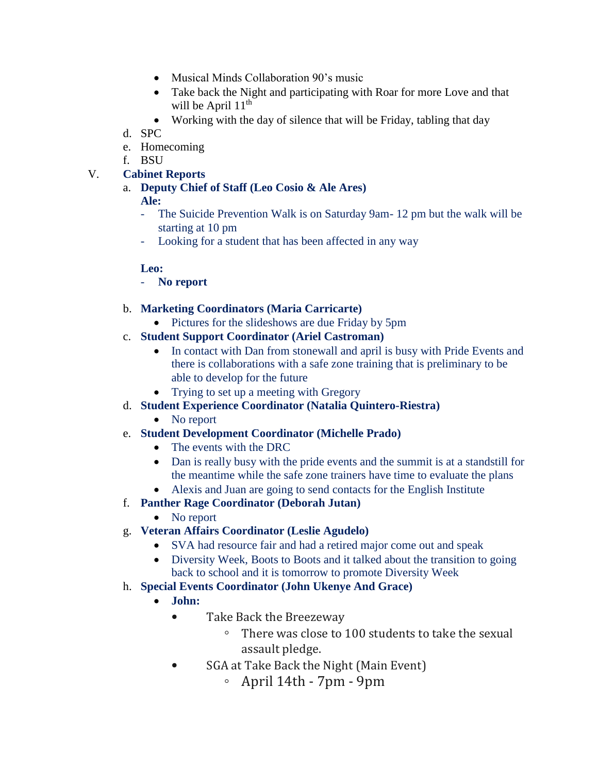- Musical Minds Collaboration 90's music
- Take back the Night and participating with Roar for more Love and that will be April  $11<sup>th</sup>$
- Working with the day of silence that will be Friday, tabling that day
- d. SPC
- e. Homecoming
- f. BSU

### V. **Cabinet Reports**

a. **Deputy Chief of Staff (Leo Cosio & Ale Ares)**

### **Ale:**

- The Suicide Prevention Walk is on Saturday 9am- 12 pm but the walk will be starting at 10 pm
- Looking for a student that has been affected in any way

#### **Leo:**

- **No report**
- b. **Marketing Coordinators (Maria Carricarte)**
	- Pictures for the slideshows are due Friday by 5pm
- c. **Student Support Coordinator (Ariel Castroman)**
	- In contact with Dan from stonewall and april is busy with Pride Events and there is collaborations with a safe zone training that is preliminary to be able to develop for the future
	- Trying to set up a meeting with Gregory
- d. **Student Experience Coordinator (Natalia Quintero-Riestra)**
	- No report
- e. **Student Development Coordinator (Michelle Prado)**
	- The events with the DRC
	- Dan is really busy with the pride events and the summit is at a standstill for the meantime while the safe zone trainers have time to evaluate the plans
	- Alexis and Juan are going to send contacts for the English Institute
- f. **Panther Rage Coordinator (Deborah Jutan)**
	- No report
- g. **Veteran Affairs Coordinator (Leslie Agudelo)**
	- SVA had resource fair and had a retired major come out and speak
	- Diversity Week, Boots to Boots and it talked about the transition to going back to school and it is tomorrow to promote Diversity Week
- h. **Special Events Coordinator (John Ukenye And Grace)**
	- **John:**
		- Take Back the Breezeway
			- There was close to 100 students to take the sexual assault pledge.
		- SGA at Take Back the Night (Main Event)
			- April 14th 7pm 9pm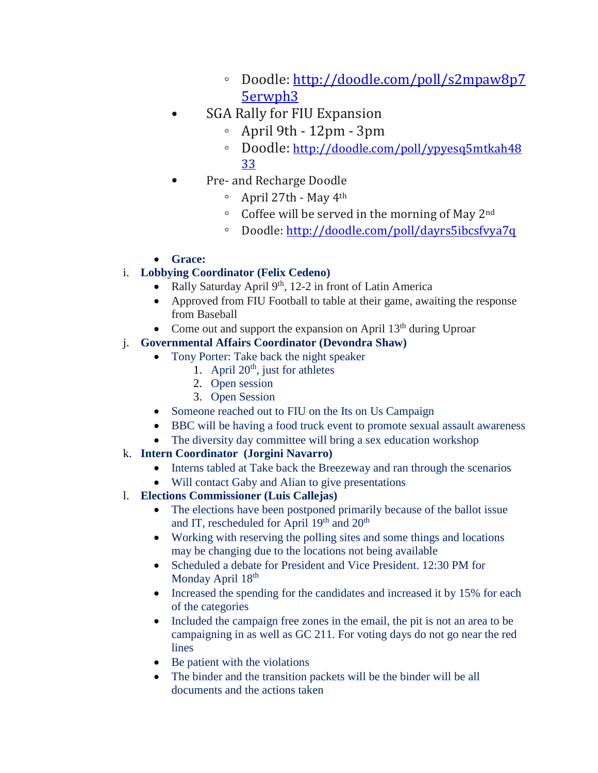- Doodle: [http://doodle.com/poll/s2mpaw8p7](https://urldefense.proofpoint.com/v2/url?u=http-3A__doodle.com_poll_s2mpaw8p75erwph3&d=AwMFaQ&c=1QsCMERiq7JOmEnKpsSyjg&r=dJrEnh005wwYMGohR_iFBw&m=PUGmX1nucmrLYVoTZg77km7mIjnaATKLeFpvTTSVYr0&s=F8Gyp_Kf62FM6TdFrDlzgtSoOzwme5SUsc6dLkHbvys&e=) [5erwph3](https://urldefense.proofpoint.com/v2/url?u=http-3A__doodle.com_poll_s2mpaw8p75erwph3&d=AwMFaQ&c=1QsCMERiq7JOmEnKpsSyjg&r=dJrEnh005wwYMGohR_iFBw&m=PUGmX1nucmrLYVoTZg77km7mIjnaATKLeFpvTTSVYr0&s=F8Gyp_Kf62FM6TdFrDlzgtSoOzwme5SUsc6dLkHbvys&e=)
- SGA Rally for FIU Expansion
	- April 9th 12pm 3pm
	- Doodle: [http://doodle.com/poll/ypyesq5mtkah48](https://urldefense.proofpoint.com/v2/url?u=http-3A__doodle.com_poll_ypyesq5mtkah4833&d=AwMFaQ&c=1QsCMERiq7JOmEnKpsSyjg&r=dJrEnh005wwYMGohR_iFBw&m=PUGmX1nucmrLYVoTZg77km7mIjnaATKLeFpvTTSVYr0&s=n6mCnwcgdayd8ZJjG1n0s0q3Yc1R6Yb0OlYYvF_rnp8&e=) [33](https://urldefense.proofpoint.com/v2/url?u=http-3A__doodle.com_poll_ypyesq5mtkah4833&d=AwMFaQ&c=1QsCMERiq7JOmEnKpsSyjg&r=dJrEnh005wwYMGohR_iFBw&m=PUGmX1nucmrLYVoTZg77km7mIjnaATKLeFpvTTSVYr0&s=n6mCnwcgdayd8ZJjG1n0s0q3Yc1R6Yb0OlYYvF_rnp8&e=)
- Pre- and Recharge Doodle
	- April 27th May 4th
	- Coffee will be served in the morning of May 2nd
	- Doodle: [http://doodle.com/poll/dayrs5ibcsfvya7q](https://urldefense.proofpoint.com/v2/url?u=http-3A__doodle.com_poll_dayrs5ibcsfvya7q&d=AwMFaQ&c=1QsCMERiq7JOmEnKpsSyjg&r=dJrEnh005wwYMGohR_iFBw&m=PUGmX1nucmrLYVoTZg77km7mIjnaATKLeFpvTTSVYr0&s=96vPyeeXZUrtzdSyUjpLSOLJsTw7GZ4kyY5oduy3Eto&e=)

## **Grace:**

## i. **Lobbying Coordinator (Felix Cedeno)**

- Rally Saturday April  $9<sup>th</sup>$ , 12-2 in front of Latin America
- Approved from FIU Football to table at their game, awaiting the response from Baseball
- Come out and support the expansion on April  $13<sup>th</sup>$  during Uproar

# j. **Governmental Affairs Coordinator (Devondra Shaw)**

- Tony Porter: Take back the night speaker
	- 1. April  $20<sup>th</sup>$ , just for athletes
	- 2. Open session
	- 3. Open Session
- Someone reached out to FIU on the Its on Us Campaign
- BBC will be having a food truck event to promote sexual assault awareness
- The diversity day committee will bring a sex education workshop
- k. **Intern Coordinator (Jorgini Navarro)**
	- Interns tabled at Take back the Breezeway and ran through the scenarios
	- Will contact Gaby and Alian to give presentations
- l. **Elections Commissioner (Luis Callejas)**
	- The elections have been postponed primarily because of the ballot issue and IT, rescheduled for April 19th and 20th
	- Working with reserving the polling sites and some things and locations may be changing due to the locations not being available
	- Scheduled a debate for President and Vice President. 12:30 PM for Monday April  $18<sup>th</sup>$
	- Increased the spending for the candidates and increased it by 15% for each of the categories
	- Included the campaign free zones in the email, the pit is not an area to be campaigning in as well as GC 211. For voting days do not go near the red lines
	- $\bullet$  Be patient with the violations
	- The binder and the transition packets will be the binder will be all documents and the actions taken